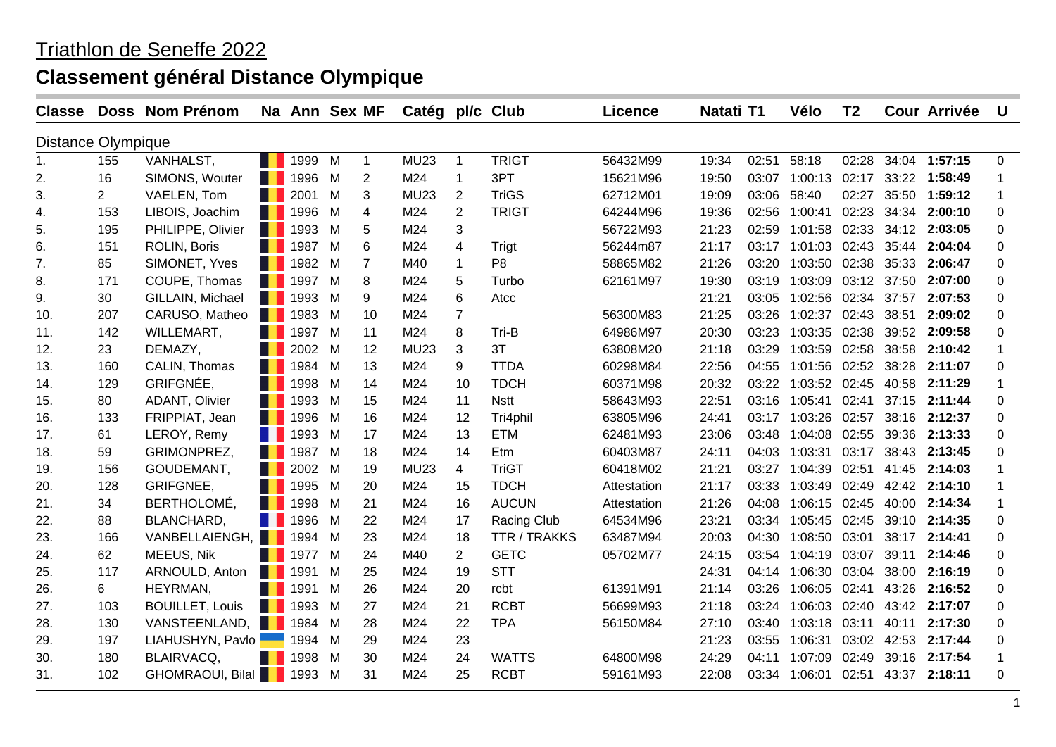| <b>Classe</b>             |                | Doss Nom Prénom         |    | Na Ann Sex MF   |   |                | Catég pl/c Club |                         |                | <b>Licence</b> | Natati T1 |       | Vélo                | T <sub>2</sub> |       | <b>Cour Arrivée</b> | <b>U</b>     |
|---------------------------|----------------|-------------------------|----|-----------------|---|----------------|-----------------|-------------------------|----------------|----------------|-----------|-------|---------------------|----------------|-------|---------------------|--------------|
| <b>Distance Olympique</b> |                |                         |    |                 |   |                |                 |                         |                |                |           |       |                     |                |       |                     |              |
| 1 <sub>1</sub>            | 155            | VANHALST,               |    | <b>1</b> 1999 M |   | $\mathbf{1}$   | <b>MU23</b>     | $\overline{1}$          | <b>TRIGT</b>   | 56432M99       | 19:34     | 02:51 | 58:18               |                |       | 02:28 34:04 1:57:15 | $\Omega$     |
| 2.                        | 16             | SIMONS, Wouter          |    | <b>1996</b> M   |   | 2              | M24             | $\mathbf{1}$            | 3PT            | 15621M96       | 19:50     | 03:07 | 1:00:13             | 02:17          |       | 33:22 1:58:49       |              |
| 3.                        | $\overline{2}$ | VAELEN, Tom             |    | 2001            | M | 3              | <b>MU23</b>     | $\overline{2}$          | <b>TriGS</b>   | 62712M01       | 19:09     | 03:06 | 58:40               | 02:27          |       | 35:50 1:59:12       | 1            |
| 4.                        | 153            | LIBOIS, Joachim         |    | 1996 M          |   | 4              | M24             | 2                       | <b>TRIGT</b>   | 64244M96       | 19:36     | 02:56 | 1:00:41             | 02:23          | 34:34 | 2:00:10             | $\Omega$     |
| 5.                        | 195            | PHILIPPE, Olivier       |    | 1993            | M | 5              | M24             | 3                       |                | 56722M93       | 21:23     | 02:59 | 1:01:58             | 02:33          |       | 34:12 2:03:05       | 0            |
| 6.                        | 151            | ROLIN, Boris            |    | <b>1987</b>     | M | 6              | M24             | $\overline{\mathbf{4}}$ | Trigt          | 56244m87       | 21:17     | 03:17 | 1:01:03 02:43       |                |       | 35:44 2:04:04       | $\Omega$     |
| 7.                        | 85             | SIMONET, Yves           |    | <b>1982</b> M   |   | $\overline{7}$ | M40             | $\mathbf{1}$            | P <sub>8</sub> | 58865M82       | 21:26     | 03:20 | 1:03:50             | 02:38          | 35:33 | 2:06:47             | $\Omega$     |
| 8.                        | 171            | COUPE, Thomas           |    | <b>1997</b>     | M | 8              | M24             | 5                       | Turbo          | 62161M97       | 19:30     | 03:19 | 1:03:09 03:12 37:50 |                |       | 2:07:00             | $\Omega$     |
| 9.                        | 30             | GILLAIN, Michael        |    | <b>1993</b>     | M | 9              | M24             | 6                       | Atcc           |                | 21:21     | 03:05 | 1:02:56 02:34       |                | 37:57 | 2:07:53             | 0            |
| 10.                       | 207            | CARUSO, Matheo          |    | <b>1983</b> M   |   | 10             | M24             | $\overline{7}$          |                | 56300M83       | 21:25     | 03:26 | 1:02:37 02:43       |                | 38:51 | 2:09:02             | $\Omega$     |
| 11.                       | 142            | WILLEMART,              |    | <b>1</b> 1997 M |   | 11             | M24             | 8                       | Tri-B          | 64986M97       | 20:30     | 03:23 | 1:03:35 02:38       |                |       | 39:52 2:09:58       | $\Omega$     |
| 12.                       | 23             | DEMAZY,                 | H. | 2002 M          |   | 12             | MU23            | 3                       | 3T             | 63808M20       | 21:18     | 03:29 | 1:03:59 02:58       |                |       | 38:58 2:10:42       | 1            |
| 13.                       | 160            | CALIN, Thomas           |    | <b>1984</b> M   |   | 13             | M24             | 9                       | <b>TTDA</b>    | 60298M84       | 22:56     | 04:55 | 1:01:56             | 02:52          |       | 38:28 2:11:07       | 0            |
| 14.                       | 129            | GRIFGNÉE,               |    | <b>1998</b> M   |   | 14             | M24             | 10                      | <b>TDCH</b>    | 60371M98       | 20:32     | 03:22 | 1:03:52 02:45       |                |       | 40:58 2:11:29       | 1            |
| 15.                       | 80             | ADANT, Olivier          |    | 1993 M          |   | 15             | M24             | 11                      | <b>Nstt</b>    | 58643M93       | 22:51     | 03:16 | 1:05:41 02:41       |                |       | 37:15 2:11:44       | $\Omega$     |
| 16.                       | 133            | FRIPPIAT, Jean          |    | 1996 M          |   | 16             | M24             | 12                      | Tri4phil       | 63805M96       | 24:41     | 03:17 | 1:03:26 02:57       |                |       | 38:16 2:12:37       | 0            |
| 17.                       | 61             | LEROY, Remy             |    | 1993 M          |   | 17             | M24             | 13                      | <b>ETM</b>     | 62481M93       | 23:06     | 03:48 | 1:04:08 02:55       |                |       | 39:36 2:13:33       | $\Omega$     |
| 18.                       | 59             | GRIMONPREZ,             |    | <b>1987</b> M   |   | 18             | M24             | 14                      | Etm            | 60403M87       | 24:11     | 04:03 | 1:03:31 03:17       |                |       | 38:43 2:13:45       | $\Omega$     |
| 19.                       | 156            | GOUDEMANT,              |    | <b>1</b> 2002 M |   | 19             | MU23            | $\overline{4}$          | <b>TriGT</b>   | 60418M02       | 21:21     | 03:27 | 1:04:39 02:51       |                |       | 41:45 2:14:03       |              |
| 20.                       | 128            | GRIFGNEE,               |    | <b>1995</b> M   |   | 20             | M24             | 15                      | <b>TDCH</b>    | Attestation    | 21:17     | 03:33 | 1:03:49 02:49       |                |       | 42:42 2:14:10       | 1            |
| 21.                       | 34             | BERTHOLOMÉ,             |    | <b>1</b> 1998 M |   | 21             | M24             | 16                      | <b>AUCUN</b>   | Attestation    | 21:26     | 04:08 | 1:06:15 02:45       |                |       | 40:00 2:14:34       | $\mathbf{1}$ |
| 22.                       | 88             | BLANCHARD,              |    | <b>1 1996</b> M |   | 22             | M24             | 17                      | Racing Club    | 64534M96       | 23:21     | 03:34 | 1:05:45 02:45       |                |       | 39:10 2:14:35       | $\Omega$     |
| 23.                       | 166            | VANBELLAIENGH, 1994 M   |    |                 |   | 23             | M24             | 18                      | TTR / TRAKKS   | 63487M94       | 20:03     | 04:30 | 1:08:50             | 03:01          | 38:17 | 2:14:41             | $\Omega$     |
| 24.                       | 62             | MEEUS, Nik              |    | <b>1977</b> M   |   | 24             | M40             | $\overline{2}$          | <b>GETC</b>    | 05702M77       | 24:15     | 03:54 | 1:04:19             | 03:07          | 39:11 | 2:14:46             | $\Omega$     |
| 25.                       | 117            | ARNOULD, Anton          |    | <b>1991</b>     | M | 25             | M24             | 19                      | <b>STT</b>     |                | 24:31     | 04:14 | 1:06:30             | 03:04          |       | 38:00 2:16:19       | $\Omega$     |
| 26.                       | 6              | HEYRMAN,                |    | 1991 M          |   | 26             | M24             | 20                      | rcbt           | 61391M91       | 21:14     | 03:26 | 1:06:05 02:41       |                |       | 43:26 2:16:52       | $\Omega$     |
| 27.                       | 103            | <b>BOUILLET, Louis</b>  |    | 1993            | M | 27             | M24             | 21                      | <b>RCBT</b>    | 56699M93       | 21:18     | 03:24 | 1:06:03             | 02:40          |       | 43:42 2:17:07       | $\Omega$     |
| 28.                       | 130            | VANSTEENLAND,           |    | <b>1984</b> M   |   | 28             | M24             | 22                      | <b>TPA</b>     | 56150M84       | 27:10     | 03:40 | 1:03:18             | 03:11          | 40:11 | 2:17:30             | $\Omega$     |
| 29.                       | 197            | LIAHUSHYN, Pavlo        |    | 1994 M          |   | 29             | M24             | 23                      |                |                | 21:23     | 03:55 | 1:06:31 03:02       |                | 42:53 | 2:17:44             | $\Omega$     |
| 30.                       | 180            | BLAIRVACQ,              |    | 1998            | M | 30             | M24             | 24                      | <b>WATTS</b>   | 64800M98       | 24:29     | 04:11 | 1:07:09             | 02:49          |       | 39:16 2:17:54       | 1            |
| 31.                       | 102            | GHOMRAOUI, Bilal 1993 M |    |                 |   | 31             | M24             | 25                      | <b>RCBT</b>    | 59161M93       | 22:08     |       | 03:34 1:06:01 02:51 |                |       | 43:37 2:18:11       | 0            |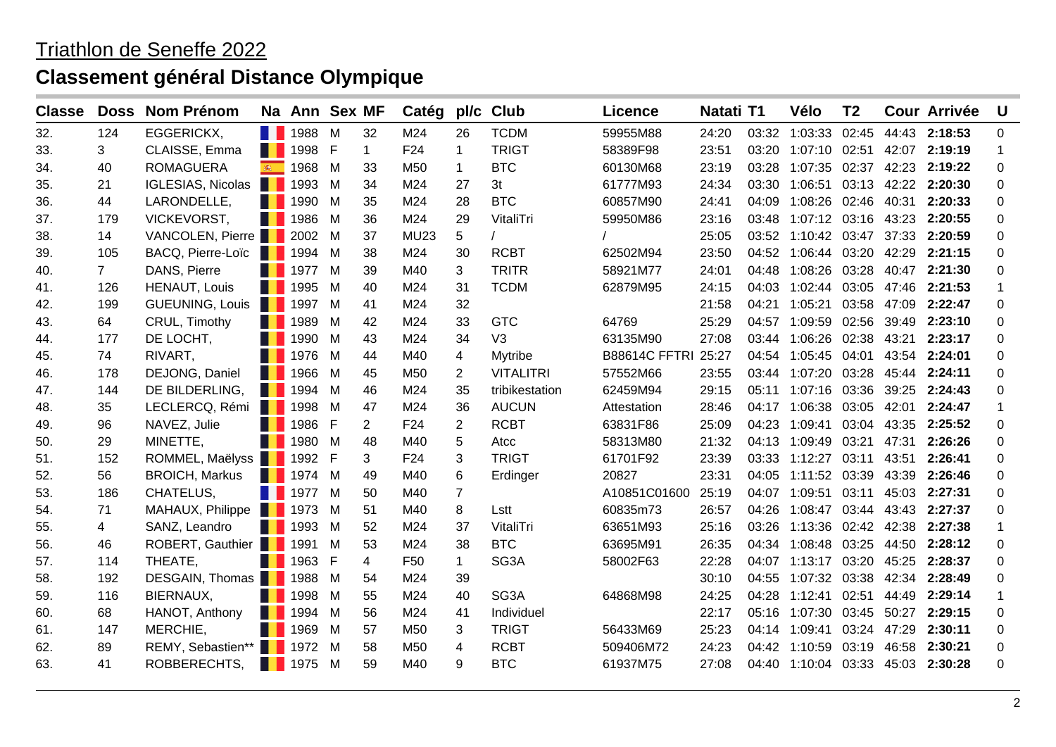| <b>Classe</b> | <b>Doss</b>    | <b>Nom Prénom</b>          |        | Na Ann Sex MF   |   |                | Catég           | pl/c           | <b>Club</b>      | <b>Licence</b>      | Natati T1 |       | Vélo                              | T <sub>2</sub> |       | <b>Cour Arrivée</b> | <b>U</b> |
|---------------|----------------|----------------------------|--------|-----------------|---|----------------|-----------------|----------------|------------------|---------------------|-----------|-------|-----------------------------------|----------------|-------|---------------------|----------|
| 32.           | 124            | EGGERICKX,                 |        | <b>1988</b>     | M | 32             | M24             | 26             | <b>TCDM</b>      | 59955M88            | 24:20     |       | 03:32 1:03:33 02:45               |                |       | 44:43 2:18:53       | 0        |
| 33.           | 3              | CLAISSE, Emma              |        | 1998 F          |   | $\mathbf 1$    | F24             | $\mathbf 1$    | <b>TRIGT</b>     | 58389F98            | 23:51     |       | 03:20 1:07:10 02:51               |                |       | 42:07 2:19:19       | 1        |
| 34.           | 40             | <b>ROMAGUERA</b>           | 编      | 1968            | M | 33             | M50             | $\mathbf 1$    | <b>BTC</b>       | 60130M68            | 23:19     | 03:28 | 1:07:35 02:37                     |                |       | 42:23 2:19:22       | 0        |
| 35.           | 21             | IGLESIAS, Nicolas 1993     |        |                 | M | 34             | M24             | 27             | 3 <sub>t</sub>   | 61777M93            | 24:34     |       | 03:30 1:06:51 03:13 42:22         |                |       | 2:20:30             | 0        |
| 36.           | 44             | LARONDELLE,                |        | <b>1990</b>     | M | 35             | M24             | 28             | <b>BTC</b>       | 60857M90            | 24:41     | 04:09 | 1:08:26 02:46 40:31               |                |       | 2:20:33             | 0        |
| 37.           | 179            | VICKEVORST,                | a kata | 1986            | M | 36             | M24             | 29             | VitaliTri        | 59950M86            | 23:16     |       | 03:48 1:07:12 03:16 43:23 2:20:55 |                |       |                     | 0        |
| 38.           | 14             | VANCOLEN, Pierre   2002 M  |        |                 |   | 37             | <b>MU23</b>     | 5              |                  |                     | 25:05     |       | 03:52 1:10:42 03:47               |                |       | 37:33 2:20:59       | 0        |
| 39.           | 105            | BACQ, Pierre-Loïc   1994 M |        |                 |   | 38             | M24             | 30             | <b>RCBT</b>      | 62502M94            | 23:50     |       | 04:52 1:06:44 03:20 42:29 2:21:15 |                |       |                     | 0        |
| 40.           | $\overline{7}$ | DANS, Pierre               |        | <b>1977</b> M   |   | 39             | M40             | 3              | <b>TRITR</b>     | 58921M77            | 24:01     | 04:48 | 1:08:26 03:28                     |                |       | 40:47 2:21:30       | 0        |
| 41.           | 126            | HENAUT, Louis              |        | 1995            | M | 40             | M24             | 31             | <b>TCDM</b>      | 62879M95            | 24:15     |       | 04:03 1:02:44 03:05               |                | 47:46 | 2:21:53             | 1        |
| 42.           | 199            | GUEUNING, Louis   1997 M   |        |                 |   | 41             | M24             | 32             |                  |                     | 21:58     | 04:21 | 1:05:21                           | 03:58          |       | 47:09 2:22:47       | 0        |
| 43.           | 64             | CRUL, Timothy              |        | 1989            | M | 42             | M24             | 33             | <b>GTC</b>       | 64769               | 25:29     |       | 04:57 1:09:59 02:56 39:49 2:23:10 |                |       |                     | 0        |
| 44.           | 177            | DE LOCHT,                  |        | <b>1990</b>     | M | 43             | M24             | 34             | V <sub>3</sub>   | 63135M90            | 27:08     |       | 03:44 1:06:26                     | 02:38          | 43:21 | 2:23:17             | 0        |
| 45.           | 74             | RIVART,                    |        | <b>1976</b>     | M | 44             | M40             | $\overline{4}$ | Mytribe          | B88614C FFTRI 25:27 |           |       | 04:54 1:05:45 04:01               |                | 43:54 | 2:24:01             | 0        |
| 46.           | 178            | DEJONG, Daniel             |        | <b>1966</b>     | M | 45             | M50             | $\overline{2}$ | <b>VITALITRI</b> | 57552M66            | 23:55     |       | 03:44 1:07:20 03:28               |                |       | 45:44 2:24:11       | 0        |
| 47.           | 144            | DE BILDERLING,             |        | <b>1994</b> M   |   | 46             | M24             | 35             | tribikestation   | 62459M94            | 29:15     |       | 05:11 1:07:16 03:36               |                |       | 39:25 2:24:43       | 0        |
| 48.           | 35             | LECLERCQ, Rémi 1998        |        |                 | M | 47             | M24             | 36             | <b>AUCUN</b>     | Attestation         | 28:46     |       | 04:17 1:06:38 03:05               |                | 42:01 | 2:24:47             | 1        |
| 49.           | 96             | NAVEZ, Julie               |        | <b>1</b> 1986 F |   | $\overline{2}$ | F <sub>24</sub> | $\overline{2}$ | <b>RCBT</b>      | 63831F86            | 25:09     | 04:23 | 1:09:41                           | 03:04          | 43:35 | 2:25:52             | 0        |
| 50.           | 29             | MINETTE,                   |        | <b>1980</b>     | M | 48             | M40             | 5              | Atcc             | 58313M80            | 21:32     |       | 04:13 1:09:49 03:21               |                | 47:31 | 2:26:26             | 0        |
| 51.           | 152            | ROMMEL, Maëlyss 1992 F     |        |                 |   | 3              | F24             | 3              | <b>TRIGT</b>     | 61701F92            | 23:39     |       | 03:33 1:12:27 03:11               |                | 43:51 | 2:26:41             | 0        |
| 52.           | 56             | <b>BROICH, Markus</b>      |        | 1974 M          |   | 49             | M40             | 6              | Erdinger         | 20827               | 23:31     | 04:05 | 1:11:52 03:39                     |                |       | 43:39 2:26:46       | 0        |
| 53.           | 186            | CHATELUS,                  |        | <b>1977</b>     | M | 50             | M40             | $\overline{7}$ |                  | A10851C01600        | 25:19     |       | 04:07 1:09:51 03:11               |                | 45:03 | 2:27:31             | 0        |
| 54.           | 71             | MAHAUX, Philippe 1973      |        |                 | M | 51             | M40             | 8              | Lstt             | 60835m73            | 26:57     | 04:26 | 1:08:47 03:44                     |                | 43:43 | 2:27:37             | 0        |
| 55.           | 4              | SANZ, Leandro              |        | <b>1993</b>     | M | 52             | M24             | 37             | VitaliTri        | 63651M93            | 25:16     |       | 03:26 1:13:36 02:42 42:38         |                |       | 2:27:38             | 1        |
| 56.           | 46             | ROBERT, Gauthier 1991      |        |                 | M | 53             | M24             | 38             | <b>BTC</b>       | 63695M91            | 26:35     |       | 04:34 1:08:48 03:25               |                |       | 44:50 2:28:12       | 0        |
| 57.           | 114            | THEATE,                    |        | <b>1</b> 1963 F |   | 4              | F <sub>50</sub> | 1              | SG3A             | 58002F63            | 22:28     |       | 04:07 1:13:17 03:20 45:25 2:28:37 |                |       |                     | 0        |
| 58.           | 192            | DESGAIN, Thomas 1 1988     |        |                 | M | 54             | M24             | 39             |                  |                     | 30:10     | 04:55 | 1:07:32 03:38                     |                |       | 42:34 2:28:49       | 0        |
| 59.           | 116            | BIERNAUX,                  |        | <b>1998</b>     | M | 55             | M24             | 40             | SG3A             | 64868M98            | 24:25     | 04:28 | 1:12:41                           | 02:51          | 44:49 | 2:29:14             | 1        |
| 60.           | 68             | HANOT, Anthony             |        | 1994            | M | 56             | M24             | 41             | Individuel       |                     | 22:17     | 05:16 | 1:07:30 03:45                     |                | 50:27 | 2:29:15             | 0        |
| 61.           | 147            | MERCHIE,                   |        | 1969            | M | 57             | M50             | 3              | <b>TRIGT</b>     | 56433M69            | 25:23     |       | 04:14 1:09:41                     | 03:24          | 47:29 | 2:30:11             | 0        |
| 62.           | 89             | REMY, Sebastien**          |        | 1972            | M | 58             | M50             | 4              | <b>RCBT</b>      | 509406M72           | 24:23     |       | 04:42 1:10:59                     | 03:19          | 46:58 | 2:30:21             | 0        |
| 63.           | 41             | ROBBERECHTS,               |        | <b>1975</b> M   |   | 59             | M40             | 9              | <b>BTC</b>       | 61937M75            | 27:08     |       | 04:40 1:10:04 03:33 45:03 2:30:28 |                |       |                     | $\Omega$ |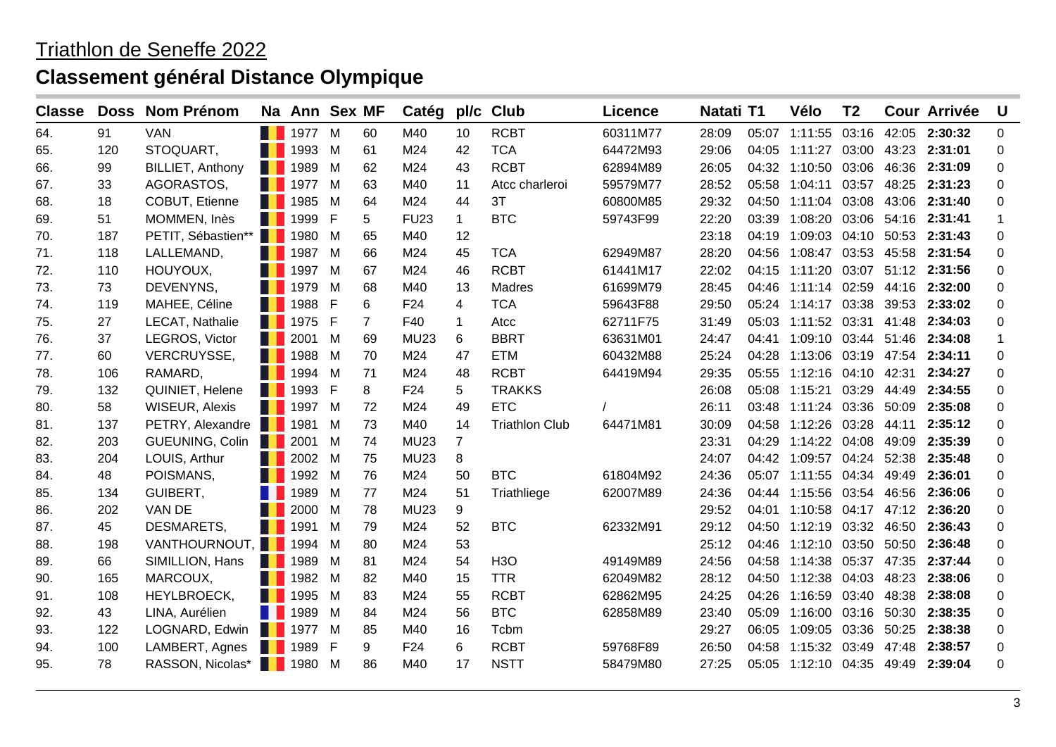| <b>Classe</b> |     | Doss Nom Prénom           | Na Ann Sex MF       |    |    | Catég           | pl/c           | <b>Club</b>           | <b>Licence</b> | Natati T1 |       | Vélo                              | T <sub>2</sub> |       | <b>Cour Arrivée</b> | <b>U</b> |
|---------------|-----|---------------------------|---------------------|----|----|-----------------|----------------|-----------------------|----------------|-----------|-------|-----------------------------------|----------------|-------|---------------------|----------|
| 64.           | 91  | <b>VAN</b>                | <b>1977</b> M       |    | 60 | M40             | 10             | <b>RCBT</b>           | 60311M77       | 28:09     |       | 05:07 1:11:55 03:16 42:05 2:30:32 |                |       |                     | 0        |
| 65.           | 120 | STOQUART,                 | 1993                | M  | 61 | M24             | 42             | <b>TCA</b>            | 64472M93       | 29:06     | 04:05 | 1:11:27 03:00                     |                |       | 43:23 2:31:01       | 0        |
| 66.           | 99  | BILLIET, Anthony          | <b>14 1989</b>      | M  | 62 | M24             | 43             | <b>RCBT</b>           | 62894M89       | 26:05     |       | 04:32 1:10:50                     | 03:06          | 46:36 | 2:31:09             | 0        |
| 67.           | 33  | AGORASTOS,                | <b>1977</b>         | M  | 63 | M40             | 11             | Atcc charleroi        | 59579M77       | 28:52     | 05:58 | 1:04:11                           | 03:57          | 48:25 | 2:31:23             | 0        |
| 68.           | 18  | COBUT, Etienne            | <b>1985</b>         | M  | 64 | M24             | 44             | 3T                    | 60800M85       | 29:32     |       | 04:50 1:11:04 03:08               |                | 43:06 | 2:31:40             | 0        |
| 69.           | 51  | MOMMEN, Inès              | <b>1999</b>         | F  | 5. | <b>FU23</b>     | $\mathbf 1$    | <b>BTC</b>            | 59743F99       | 22:20     | 03:39 | 1:08:20 03:06 54:16 2:31:41       |                |       |                     | 1        |
| 70.           | 187 | PETIT, Sébastien**   1980 |                     | M  | 65 | M40             | 12             |                       |                | 23:18     | 04:19 | 1:09:03 04:10 50:53 2:31:43       |                |       |                     | 0        |
| 71.           | 118 | LALLEMAND,                | $\blacksquare$ 1987 | M  | 66 | M24             | 45             | <b>TCA</b>            | 62949M87       | 28:20     | 04:56 | 1:08:47 03:53                     |                | 45:58 | 2:31:54             | 0        |
| 72.           | 110 | HOUYOUX,                  | <b>1997</b>         | M  | 67 | M24             | 46             | <b>RCBT</b>           | 61441M17       | 22:02     | 04:15 | 1:11:20                           | 03:07          | 51:12 | 2:31:56             | 0        |
| 73.           | 73  | DEVENYNS,                 | 1979                | M  | 68 | M40             | 13             | Madres                | 61699M79       | 28:45     | 04:46 | 1:11:14 02:59                     |                | 44:16 | 2:32:00             | 0        |
| 74.           | 119 | MAHEE, Céline             | 1988                | -F | 6  | F <sub>24</sub> | 4              | <b>TCA</b>            | 59643F88       | 29:50     |       | 05:24 1:14:17 03:38               |                |       | 39:53 2:33:02       | 0        |
| 75.           | 27  | LECAT, Nathalie           | <b>1</b> 1975 F     |    | 7  | F40             | $\mathbf{1}$   | Atcc                  | 62711F75       | 31:49     | 05:03 | 1:11:52 03:31                     |                | 41:48 | 2:34:03             | 0        |
| 76.           | 37  | LEGROS, Victor            | 2001                | M  | 69 | <b>MU23</b>     | 6              | <b>BBRT</b>           | 63631M01       | 24:47     |       | 04:41 1:09:10 03:44               |                | 51:46 | 2:34:08             | 1        |
| 77.           | 60  | VERCRUYSSE,               | <b>1988</b>         | M  | 70 | M24             | 47             | <b>ETM</b>            | 60432M88       | 25:24     | 04:28 | 1:13:06 03:19 47:54               |                |       | 2:34:11             | 0        |
| 78.           | 106 | RAMARD,                   | <b>1994</b> M       |    | 71 | M24             | 48             | <b>RCBT</b>           | 64419M94       | 29:35     | 05:55 | 1:12:16 04:10 42:31               |                |       | 2:34:27             | 0        |
| 79.           | 132 | QUINIET, Helene           | <b>1</b> 1993 F     |    | 8  | F24             | 5              | <b>TRAKKS</b>         |                | 26:08     | 05:08 | 1:15:21                           | 03:29          | 44:49 | 2:34:55             | 0        |
| 80.           | 58  | <b>WISEUR, Alexis</b>     | <b>1997</b>         | M  | 72 | M24             | 49             | <b>ETC</b>            |                | 26:11     | 03:48 | 1:11:24                           | 03:36          | 50:09 | 2:35:08             | 0        |
| 81.           | 137 | PETRY, Alexandre 1981     |                     | M  | 73 | M40             | 14             | <b>Triathlon Club</b> | 64471M81       | 30:09     | 04:58 | 1:12:26                           | 03:28          | 44:11 | 2:35:12             | 0        |
| 82.           | 203 | <b>GUEUNING, Colin</b>    | <b>14.2001</b>      | M  | 74 | <b>MU23</b>     | $\overline{7}$ |                       |                | 23:31     | 04:29 | 1:14:22 04:08                     |                | 49:09 | 2:35:39             | 0        |
| 83.           | 204 | LOUIS, Arthur             | 2002                | M  | 75 | <b>MU23</b>     | 8              |                       |                | 24:07     |       | 04:42 1:09:57 04:24               |                | 52:38 | 2:35:48             | 0        |
| 84.           | 48  | POISMANS,                 | 1992 M              |    | 76 | M24             | 50             | <b>BTC</b>            | 61804M92       | 24:36     |       | 05:07 1:11:55 04:34               |                | 49:49 | 2:36:01             | 0        |
| 85.           | 134 | GUIBERT,                  | <b>1989</b>         | M  | 77 | M24             | 51             | Triathliege           | 62007M89       | 24:36     | 04:44 | 1:15:56 03:54                     |                | 46:56 | 2:36:06             | 0        |
| 86.           | 202 | VAN DE                    | 2000                | M  | 78 | <b>MU23</b>     | 9              |                       |                | 29:52     |       | 04:01 1:10:58                     | 04:17          | 47:12 | 2:36:20             | 0        |
| 87.           | 45  | DESMARETS,                | <b>1991</b>         | M  | 79 | M24             | 52             | <b>BTC</b>            | 62332M91       | 29:12     |       | 04:50 1:12:19                     | 03:32          | 46:50 | 2:36:43             | 0        |
| 88.           | 198 | VANTHOURNOUT, 1994 M      |                     |    | 80 | M24             | 53             |                       |                | 25:12     | 04:46 | 1:12:10 03:50                     |                | 50:50 | 2:36:48             | 0        |
| 89.           | 66  | SIMILLION, Hans           | <b>1989</b>         | M  | 81 | M24             | 54             | H <sub>3</sub> O      | 49149M89       | 24:56     | 04:58 | 1:14:38 05:37                     |                | 47:35 | 2:37:44             | 0        |
| 90.           | 165 | MARCOUX,                  | <b>1982</b> M       |    | 82 | M40             | 15             | <b>TTR</b>            | 62049M82       | 28:12     |       | 04:50 1:12:38                     | 04:03          | 48:23 | 2:38:06             | 0        |
| 91.           | 108 | HEYLBROECK,               | <b>1995</b>         | M  | 83 | M24             | 55             | <b>RCBT</b>           | 62862M95       | 24:25     | 04:26 | 1:16:59                           | 03:40          | 48:38 | 2:38:08             | 0        |
| 92.           | 43  | LINA, Aurélien            | <b>1989</b>         | M  | 84 | M24             | 56             | <b>BTC</b>            | 62858M89       | 23:40     | 05:09 | 1:16:00                           | 03:16          | 50:30 | 2:38:35             | 0        |
| 93.           | 122 | LOGNARD, Edwin            | <b>1977</b>         | M  | 85 | M40             | 16             | Tcbm                  |                | 29:27     | 06:05 | 1:09:05                           | 03:36          | 50:25 | 2:38:38             | 0        |
| 94.           | 100 | LAMBERT, Agnes            | <b>1989</b>         | F  | 9  | F <sub>24</sub> | 6              | <b>RCBT</b>           | 59768F89       | 26:50     | 04:58 | 1:15:32                           | 03:49          | 47:48 | 2:38:57             | 0        |
| 95.           | 78  | RASSON, Nicolas*          | <b>1980</b> M       |    | 86 | M40             | 17             | <b>NSTT</b>           | 58479M80       | 27:25     |       | 05:05 1:12:10 04:35 49:49 2:39:04 |                |       |                     | 0        |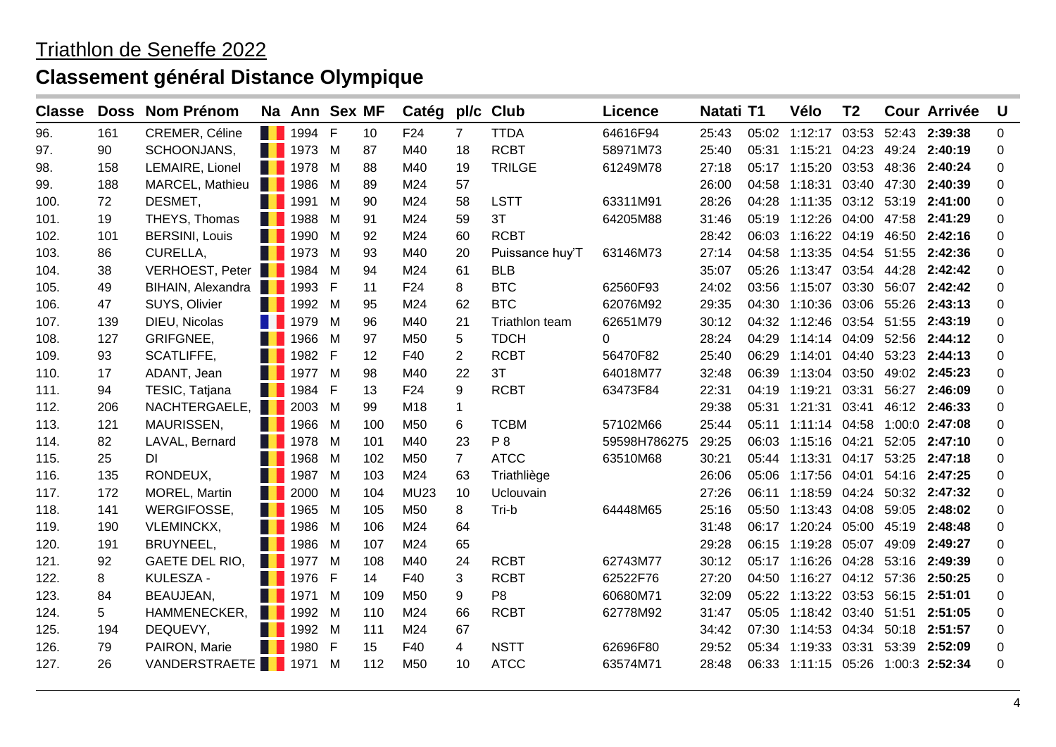| <b>Classe</b> | <b>Doss</b> | <b>Nom Prénom</b>               |                | Na Ann Sex MF       |   |     | Catég           | pl/c           | <b>Club</b>     | <b>Licence</b> | Natati T1 |       | Vélo                               | T <sub>2</sub> |       | <b>Cour Arrivée</b> | U        |
|---------------|-------------|---------------------------------|----------------|---------------------|---|-----|-----------------|----------------|-----------------|----------------|-----------|-------|------------------------------------|----------------|-------|---------------------|----------|
| 96.           | 161         | CREMER, Céline                  |                | <b>1</b> 1994 F     |   | 10  | F24             | $\overline{7}$ | <b>TTDA</b>     | 64616F94       | 25:43     |       | 05:02 1:12:17                      | 03:53          |       | 52:43 2:39:38       | 0        |
| 97.           | 90          | SCHOONJANS,                     |                | <b>1973</b> M       |   | 87  | M40             | 18             | <b>RCBT</b>     | 58971M73       | 25:40     |       | 05:31 1:15:21                      | 04:23          |       | 49:24 2:40:19       | 0        |
| 98.           | 158         | LEMAIRE, Lionel                 |                | <b>1978</b>         | M | 88  | M40             | 19             | <b>TRILGE</b>   | 61249M78       | 27:18     |       | 05:17 1:15:20 03:53                |                | 48:36 | 2:40:24             | 0        |
| 99.           | 188         | MARCEL, Mathieu                 |                | <b>1986</b>         | M | 89  | M24             | 57             |                 |                | 26:00     | 04:58 | 1:18:31 03:40 47:30                |                |       | 2:40:39             | 0        |
| 100.          | 72          | DESMET,                         |                | <b>1991</b>         | M | 90  | M24             | 58             | <b>LSTT</b>     | 63311M91       | 28:26     |       | 04:28 1:11:35 03:12 53:19          |                |       | 2:41:00             | 0        |
| 101.          | 19          | THEYS, Thomas                   |                | <b>1988</b>         | M | 91  | M24             | 59             | 3T              | 64205M88       | 31:46     |       | 05:19 1:12:26 04:00 47:58 2:41:29  |                |       |                     | 0        |
| 102.          | 101         | <b>BERSINI, Louis</b>           |                | 1990                | M | 92  | M24             | 60             | <b>RCBT</b>     |                | 28:42     |       | 06:03 1:16:22 04:19 46:50 2:42:16  |                |       |                     | 0        |
| 103.          | 86          | CURELLA,                        |                | <b>1973</b>         | M | 93  | M40             | 20             | Puissance huy'T | 63146M73       | 27:14     | 04:58 | 1:13:35 04:54 51:55 2:42:36        |                |       |                     | 0        |
| 104.          | 38          | VERHOEST, Peter 1984 M          |                |                     |   | 94  | M24             | 61             | <b>BLB</b>      |                | 35:07     | 05:26 | 1:13:47 03:54 44:28 2:42:42        |                |       |                     | 0        |
| 105.          | 49          | BIHAIN, Alexandra 1993 F        |                |                     |   | 11  | F <sub>24</sub> | 8              | <b>BTC</b>      | 62560F93       | 24:02     | 03:56 | 1:15:07 03:30 56:07 2:42:42        |                |       |                     | 0        |
| 106.          | 47          | SUYS, Olivier                   |                | 1992 M              |   | 95  | M24             | 62             | <b>BTC</b>      | 62076M92       | 29:35     |       | 04:30 1:10:36 03:06 55:26 2:43:13  |                |       |                     | 0        |
| 107.          | 139         | DIEU, Nicolas                   |                | $\blacksquare$ 1979 | M | 96  | M40             | 21             | Triathlon team  | 62651M79       | 30:12     |       | 04:32 1:12:46 03:54 51:55 2:43:19  |                |       |                     | 0        |
| 108.          | 127         | GRIFGNEE,                       |                | <b>1966</b>         | M | 97  | M <sub>50</sub> | 5              | <b>TDCH</b>     | $\Omega$       | 28:24     |       | 04:29 1:14:14 04:09 52:56          |                |       | 2:44:12             | 0        |
| 109.          | 93          | SCATLIFFE,                      |                | <b>1</b> 1982 F     |   | 12  | F40             | $\overline{2}$ | <b>RCBT</b>     | 56470F82       | 25:40     |       | 06:29 1:14:01 04:40 53:23          |                |       | 2:44:13             | 0        |
| 110.          | 17          | ADANT, Jean                     |                | <b>1977</b> M       |   | 98  | M40             | 22             | 3T              | 64018M77       | 32:48     |       | 06:39 1:13:04 03:50                |                |       | 49:02 2:45:23       | 0        |
| 111.          | 94          | TESIC, Tatjana                  |                | 1984 F              |   | 13  | F <sub>24</sub> | 9              | <b>RCBT</b>     | 63473F84       | 22:31     |       | 04:19 1:19:21 03:31                |                |       | 56:27 2:46:09       | 0        |
| 112.          | 206         | NACHTERGAELE, 2003 M            |                |                     |   | 99  | M <sub>18</sub> | 1              |                 |                | 29:38     |       | 05:31 1:21:31 03:41                |                |       | 46:12 2:46:33       | 0        |
| 113.          | 121         | MAURISSEN,                      |                | <b>1966</b>         | M | 100 | M <sub>50</sub> | 6              | <b>TCBM</b>     | 57102M66       | 25:44     |       | 05:11 1:11:14 04:58 1:00:0 2:47:08 |                |       |                     | 0        |
| 114.          | 82          | LAVAL, Bernard                  |                | <b>1978</b> M       |   | 101 | M40             | 23             | P 8             | 59598H786275   | 29:25     |       | 06:03 1:15:16 04:21                |                |       | 52:05 2:47:10       | 0        |
| 115.          | 25          | DI.                             |                | 1968 M              |   | 102 | M <sub>50</sub> | $\overline{7}$ | <b>ATCC</b>     | 63510M68       | 30:21     |       | 05:44 1:13:31 04:17 53:25 2:47:18  |                |       |                     | 0        |
| 116.          | 135         | RONDEUX,                        |                | 1987 M              |   | 103 | M24             | 63             | Triathliège     |                | 26:06     |       | 05:06 1:17:56 04:01                |                |       | 54:16 2:47:25       | 0        |
| 117.          | 172         | MOREL, Martin                   | <b>TELESCO</b> | 2000                | M | 104 | <b>MU23</b>     | 10             | Uclouvain       |                | 27:26     |       | 06:11 1:18:59 04:24 50:32 2:47:32  |                |       |                     | 0        |
| 118.          | 141         | WERGIFOSSE,                     |                | <b>1965</b>         | M | 105 | M50             | 8              | Tri-b           | 64448M65       | 25:16     |       | 05:50 1:13:43 04:08 59:05          |                |       | 2:48:02             | 0        |
| 119.          | 190         | <b>VLEMINCKX,</b>               |                | <b>1986</b>         | M | 106 | M24             | 64             |                 |                | 31:48     |       | 06:17 1:20:24 05:00 45:19          |                |       | 2:48:48             | 0        |
| 120.          | 191         | BRUYNEEL,                       |                | 1986                | M | 107 | M24             | 65             |                 |                | 29:28     |       | 06:15 1:19:28 05:07                |                |       | 49:09 2:49:27       | 0        |
| 121.          | 92          | GAETE DEL RIO,                  |                | <b>1977</b> M       |   | 108 | M40             | 24             | <b>RCBT</b>     | 62743M77       | 30:12     |       | 05:17 1:16:26 04:28                |                |       | 53:16 2:49:39       | 0        |
| 122.          | 8           | KULESZA -                       |                | <b>1</b> 1976 F     |   | 14  | F40             | 3              | <b>RCBT</b>     | 62522F76       | 27:20     |       | 04:50 1:16:27 04:12 57:36          |                |       | 2:50:25             | 0        |
| 123.          | 84          | BEAUJEAN,                       |                | <b>1971</b>         | M | 109 | M50             | 9              | P <sub>8</sub>  | 60680M71       | 32:09     |       | 05:22 1:13:22 03:53 56:15 2:51:01  |                |       |                     | 0        |
| 124.          | 5           | HAMMENECKER,                    | a ka           | 1992                | M | 110 | M24             | 66             | <b>RCBT</b>     | 62778M92       | 31:47     | 05:05 | 1:18:42 03:40 51:51 2:51:05        |                |       |                     | 0        |
| 125.          | 194         | DEQUEVY,                        |                | 1992 M              |   | 111 | M24             | 67             |                 |                | 34:42     |       | 07:30 1:14:53 04:34                |                |       | 50:18 2:51:57       | 0        |
| 126.          | 79          | PAIRON, Marie                   |                | 1980 F              |   | 15  | F40             | 4              | <b>NSTT</b>     | 62696F80       | 29:52     | 05:34 | 1:19:33 03:31                      |                |       | 53:39 2:52:09       | 0        |
| 127.          | 26          | VANDERSTRAETE <sup>1</sup> 1971 |                |                     | M | 112 | M <sub>50</sub> | 10             | <b>ATCC</b>     | 63574M71       | 28:48     |       | 06:33 1:11:15 05:26 1:00:3 2:52:34 |                |       |                     | $\Omega$ |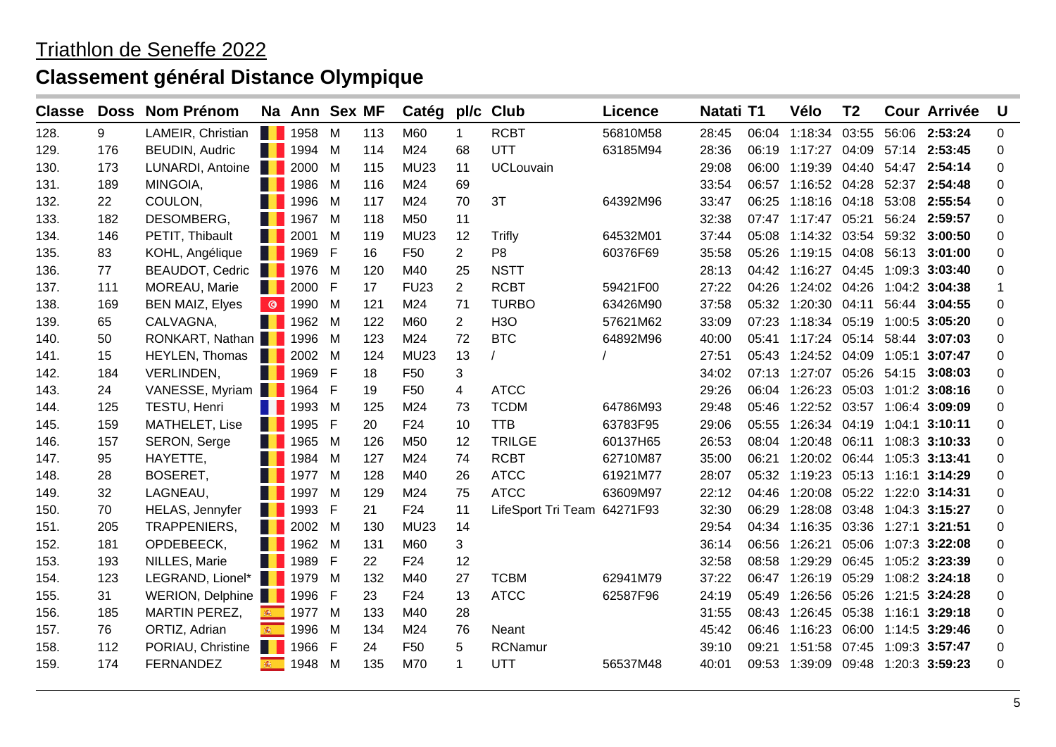| <b>Classe</b> |     | Doss Nom Prénom          |     | Na Ann Sex MF    |     |     | Catég pl/c      |                | <b>Club</b>                 | <b>Licence</b> | Natati T1 |       | Vélo                               | T <sub>2</sub> |       | <b>Cour Arrivée</b> | U |
|---------------|-----|--------------------------|-----|------------------|-----|-----|-----------------|----------------|-----------------------------|----------------|-----------|-------|------------------------------------|----------------|-------|---------------------|---|
| 128.          | 9   | LAMEIR, Christian        |     | <b>14 1958 M</b> |     | 113 | M60             | 1              | <b>RCBT</b>                 | 56810M58       | 28:45     |       | 06:04 1:18:34 03:55                |                |       | 56:06 2:53:24       | 0 |
| 129.          | 176 | <b>BEUDIN, Audric</b>    |     | <b>1994</b> M    |     | 114 | M24             | 68             | UTT                         | 63185M94       | 28:36     | 06:19 | 1:17:27 04:09                      |                |       | 57:14 2:53:45       | 0 |
| 130.          | 173 | LUNARDI, Antoine         |     | <b>1</b> 2000    | M   | 115 | <b>MU23</b>     | 11             | <b>UCLouvain</b>            |                | 29:08     | 06:00 | 1:19:39                            |                |       | 04:40 54:47 2:54:14 | 0 |
| 131.          | 189 | MINGOIA,                 |     | <b>1986</b>      | M   | 116 | M24             | 69             |                             |                | 33:54     |       | 06:57 1:16:52 04:28                |                |       | 52:37 2:54:48       | 0 |
| 132.          | 22  | COULON,                  |     | <b>1996</b>      | M   | 117 | M24             | 70             | 3T                          | 64392M96       | 33:47     | 06:25 | 1:18:16 04:18                      |                | 53:08 | 2:55:54             | 0 |
| 133.          | 182 | DESOMBERG,               |     | <b>1967</b> M    |     | 118 | M50             | 11             |                             |                | 32:38     |       | 07:47 1:17:47 05:21                |                |       | 56:24 2:59:57       | 0 |
| 134.          | 146 | PETIT, Thibault          |     | <b>12001</b>     | M   | 119 | <b>MU23</b>     | 12             | Trifly                      | 64532M01       | 37:44     |       | 05:08 1:14:32 03:54                |                |       | 59:32 3:00:50       | 0 |
| 135.          | 83  | KOHL, Angélique          |     | <b>1969 F</b>    |     | 16  | F <sub>50</sub> | $\overline{2}$ | P <sub>8</sub>              | 60376F69       | 35:58     | 05:26 | 1:19:15 04:08 56:13 3:01:00        |                |       |                     | 0 |
| 136.          | 77  | BEAUDOT, Cedric   1976 M |     |                  |     | 120 | M40             | 25             | <b>NSTT</b>                 |                | 28:13     |       | 04:42 1:16:27 04:45                |                |       | 1:09:3 3:03:40      | 0 |
| 137.          | 111 | MOREAU, Marie            |     | <b>1</b> 2000 F  |     | 17  | <b>FU23</b>     | $\overline{2}$ | <b>RCBT</b>                 | 59421F00       | 27:22     | 04:26 | 1:24:02 04:26                      |                |       | 1:04:2 3:04:38      | 1 |
| 138.          | 169 | <b>BEN MAIZ, Elyes</b>   |     | <b>C</b> 1990 M  |     | 121 | M24             | 71             | <b>TURBO</b>                | 63426M90       | 37:58     |       | 05:32 1:20:30 04:11                |                |       | 56:44 3:04:55       | 0 |
| 139.          | 65  | CALVAGNA,                |     | <b>1962</b>      | M   | 122 | M60             | $\overline{2}$ | <b>H3O</b>                  | 57621M62       | 33:09     | 07:23 | 1:18:34 05:19                      |                |       | 1:00:5 3:05:20      | 0 |
| 140.          | 50  | RONKART, Nathan 1996     |     |                  | M   | 123 | M24             | 72             | <b>BTC</b>                  | 64892M96       | 40:00     |       | 05:41 1:17:24 05:14                |                |       | 58:44 3:07:03       | 0 |
| 141.          | 15  | <b>HEYLEN, Thomas</b>    |     | <b>1</b> 2002    | M   | 124 | <b>MU23</b>     | 13             |                             |                | 27:51     |       | 05:43 1:24:52 04:09                |                |       | 1:05:1 3:07:47      | 0 |
| 142.          | 184 | VERLINDEN,               |     | <b>1</b> 1969 F  |     | 18  | F <sub>50</sub> | 3              |                             |                | 34:02     |       | 07:13 1:27:07 05:26 54:15 3:08:03  |                |       |                     | 0 |
| 143.          | 24  | VANESSE, Myriam 1964 F   |     |                  |     | 19  | F50             | 4              | <b>ATCC</b>                 |                | 29:26     |       | 06:04 1:26:23 05:03 1:01:2 3:08:16 |                |       |                     | 0 |
| 144.          | 125 | TESTU, Henri             |     | <b>1 1993</b> M  |     | 125 | M24             | 73             | <b>TCDM</b>                 | 64786M93       | 29:48     | 05:46 | 1:22:52 03:57                      |                |       | 1:06:4 3:09:09      | 0 |
| 145.          | 159 | MATHELET, Lise           |     | <b>1995 F</b>    |     | 20  | F24             | 10             | <b>TTB</b>                  | 63783F95       | 29:06     | 05:55 | 1:26:34 04:19 1:04:1 3:10:11       |                |       |                     | 0 |
| 146.          | 157 | SERON, Serge             |     | <b>1965</b>      | M   | 126 | M50             | 12             | <b>TRILGE</b>               | 60137H65       | 26:53     | 08:04 | 1:20:48                            | 06:11          |       | 1:08:3 3:10:33      | 0 |
| 147.          | 95  | HAYETTE,                 |     | 1984 M           |     | 127 | M24             | 74             | <b>RCBT</b>                 | 62710M87       | 35:00     |       | 06:21 1:20:02 06:44                |                |       | 1:05:3 3:13:41      | 0 |
| 148.          | 28  | BOSERET,                 |     | 1977 M           |     | 128 | M40             | 26             | <b>ATCC</b>                 | 61921M77       | 28:07     |       | 05:32 1:19:23 05:13 1:16:1 3:14:29 |                |       |                     | 0 |
| 149.          | 32  | LAGNEAU,                 |     | <b>1997</b> M    |     | 129 | M24             | 75             | <b>ATCC</b>                 | 63609M97       | 22:12     |       | 04:46 1:20:08 05:22 1:22:0 3:14:31 |                |       |                     | 0 |
| 150.          | 70  | <b>HELAS, Jennyfer</b>   |     | <b>1993 F</b>    |     | 21  | F <sub>24</sub> | 11             | LifeSport Tri Team 64271F93 |                | 32:30     |       | 06:29 1:28:08 03:48 1:04:3 3:15:27 |                |       |                     | 0 |
| 151.          | 205 | TRAPPENIERS,             |     | <b>1</b> 2002    | M   | 130 | <b>MU23</b>     | 14             |                             |                | 29:54     |       | 04:34 1:16:35 03:36                |                |       | 1:27:1 3:21:51      | 0 |
| 152.          | 181 | OPDEBEECK,               |     | <b>1962</b> M    |     | 131 | M60             | 3              |                             |                | 36:14     | 06:56 | 1:26:21                            | 05:06          |       | 1:07:3 3:22:08      | 0 |
| 153.          | 193 | NILLES, Marie            |     | <b>1 1989 F</b>  |     | 22  | F24             | 12             |                             |                | 32:58     | 08:58 | 1:29:29                            | 06:45          |       | 1:05:2 3:23:39      | 0 |
| 154.          | 123 | LEGRAND, Lionel* 1979    |     |                  | M   | 132 | M40             | 27             | <b>TCBM</b>                 | 62941M79       | 37:22     | 06:47 | 1:26:19                            | 05:29          |       | 1:08:2 3:24:18      | 0 |
| 155.          | 31  | WERION, Delphine 1996    |     |                  | - F | 23  | F <sub>24</sub> | 13             | <b>ATCC</b>                 | 62587F96       | 24:19     | 05:49 | 1:26:56                            | 05:26          |       | 1:21:5 3:24:28      | 0 |
| 156.          | 185 | <b>MARTIN PEREZ,</b>     | 晚   | 1977             | M   | 133 | M40             | 28             |                             |                | 31:55     |       | 08:43 1:26:45                      | 05:38          |       | 1:16:1 3:29:18      | 0 |
| 157.          | 76  | ORTIZ, Adrian            | 编   | 1996             | M   | 134 | M24             | 76             | Neant                       |                | 45:42     | 06:46 | 1:16:23 06:00                      |                |       | 1:14:5 3:29:46      | 0 |
| 158.          | 112 | PORIAU, Christine        | . . | 1966 F           |     | 24  | F <sub>50</sub> | 5              | <b>RCNamur</b>              |                | 39:10     | 09:21 | 1:51:58                            | 07:45          |       | 1:09:3 3:57:47      | 0 |
| 159.          | 174 | <b>FERNANDEZ</b>         | 编   | 1948 M           |     | 135 | M70             | 1              | UTT                         | 56537M48       | 40:01     |       | 09:53 1:39:09 09:48 1:20:3 3:59:23 |                |       |                     | 0 |